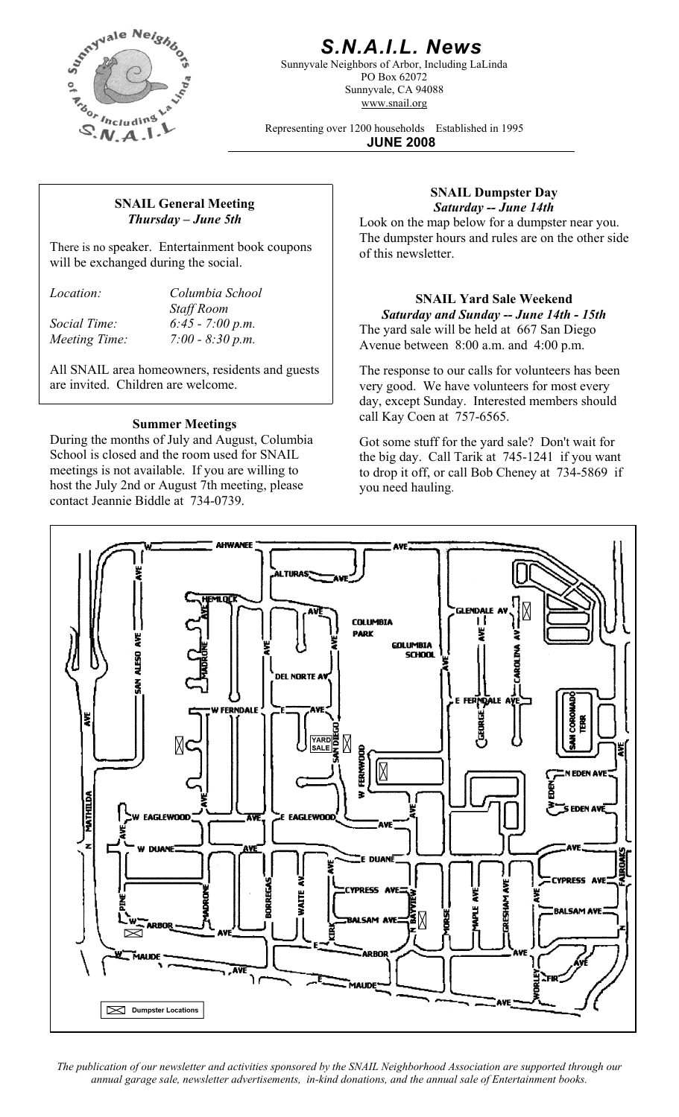

# *S.N.A.I.L. News*

Sunnyvale Neighbors of Arbor, Including LaLinda PO Box 62072 Sunnyvale, CA 94088 www.snail.org

Representing over 1200 households Established in 1995 **JUNE 2008**

### **SNAIL General Meeting**  *Thursday – June 5th*

There is no speaker. Entertainment book coupons will be exchanged during the social.

*Location: Columbia School Staff Room Social Time: 6:45 - 7:00 p.m. Meeting Time: 7:00 - 8:30 p.m.* 

All SNAIL area homeowners, residents and guests are invited. Children are welcome.

### **Summer Meetings**

During the months of July and August, Columbia School is closed and the room used for SNAIL meetings is not available. If you are willing to host the July 2nd or August 7th meeting, please contact Jeannie Biddle at 734-0739.

#### **SNAIL Dumpster Day**  *Saturday -- June 14th*

Look on the map below for a dumpster near you. The dumpster hours and rules are on the other side of this newsletter.

**SNAIL Yard Sale Weekend**  *Saturday and Sunday -- June 14th - 15th*  The yard sale will be held at 667 San Diego Avenue between 8:00 a.m. and 4:00 p.m.

The response to our calls for volunteers has been very good. We have volunteers for most every day, except Sunday. Interested members should call Kay Coen at 757-6565.

Got some stuff for the yard sale? Don't wait for the big day. Call Tarik at 745-1241 if you want to drop it off, or call Bob Cheney at 734-5869 if you need hauling.



*The publication of our newsletter and activities sponsored by the SNAIL Neighborhood Association are supported through our annual garage sale, newsletter advertisements, in-kind donations, and the annual sale of Entertainment books.*